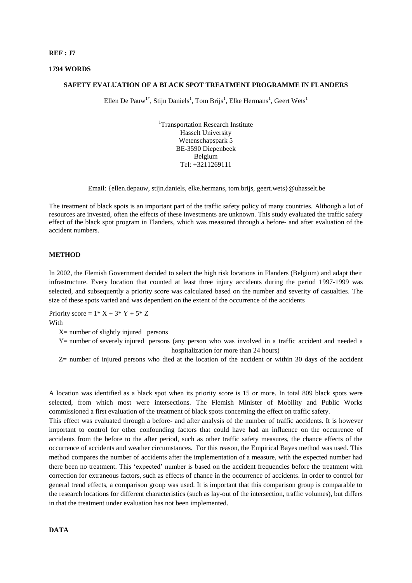#### **REF : J7**

## **1794 WORDS**

# **SAFETY EVALUATION OF A BLACK SPOT TREATMENT PROGRAMME IN FLANDERS**

Ellen De Pauw<sup>1\*</sup>, Stijn Daniels<sup>1</sup>, Tom Brijs<sup>1</sup>, Elke Hermans<sup>1</sup>, Geert Wets<sup>1</sup>

<sup>1</sup>Transportation Research Institute Hasselt University Wetenschapspark 5 BE-3590 Diepenbeek Belgium Tel: +3211269111

Email: {ellen.depauw, stijn.daniels, elke.hermans, tom.brijs, geert.wets}@uhasselt.be

The treatment of black spots is an important part of the traffic safety policy of many countries. Although a lot of resources are invested, often the effects of these investments are unknown. This study evaluated the traffic safety effect of the black spot program in Flanders, which was measured through a before- and after evaluation of the accident numbers.

## **METHOD**

In 2002, the Flemish Government decided to select the high risk locations in Flanders (Belgium) and adapt their infrastructure. Every location that counted at least three injury accidents during the period 1997-1999 was selected, and subsequently a priority score was calculated based on the number and severity of casualties. The size of these spots varied and was dependent on the extent of the occurrence of the accidents

Priority score =  $1^* X + 3^* Y + 5^* Z$ With

 $X=$  number of slightly injured persons

Y= number of severely injured persons (any person who was involved in a traffic accident and needed a hospitalization for more than 24 hours)

Z= number of injured persons who died at the location of the accident or within 30 days of the accident

A location was identified as a black spot when its priority score is 15 or more. In total 809 black spots were selected, from which most were intersections. The Flemish Minister of Mobility and Public Works commissioned a first evaluation of the treatment of black spots concerning the effect on traffic safety.

This effect was evaluated through a before- and after analysis of the number of traffic accidents. It is however important to control for other confounding factors that could have had an influence on the occurrence of accidents from the before to the after period, such as other traffic safety measures, the chance effects of the occurrence of accidents and weather circumstances. For this reason, the Empirical Bayes method was used. This method compares the number of accidents after the implementation of a measure, with the expected number had there been no treatment. This 'expected' number is based on the accident frequencies before the treatment with correction for extraneous factors, such as effects of chance in the occurrence of accidents. In order to control for general trend effects, a comparison group was used. It is important that this comparison group is comparable to the research locations for different characteristics (such as lay-out of the intersection, traffic volumes), but differs in that the treatment under evaluation has not been implemented.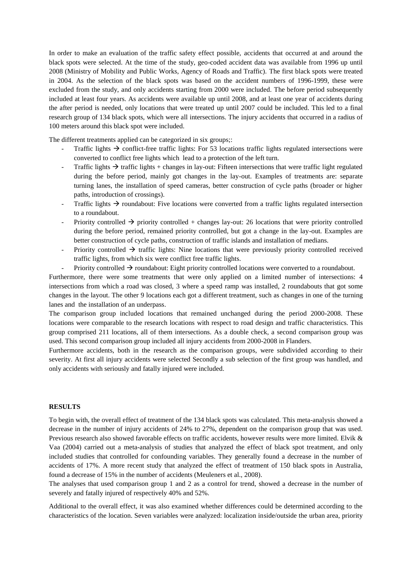In order to make an evaluation of the traffic safety effect possible, accidents that occurred at and around the black spots were selected. At the time of the study, geo-coded accident data was available from 1996 up until 2008 (Ministry of Mobility and Public Works, Agency of Roads and Traffic). The first black spots were treated in 2004. As the selection of the black spots was based on the accident numbers of 1996-1999, these were excluded from the study, and only accidents starting from 2000 were included. The before period subsequently included at least four years. As accidents were available up until 2008, and at least one year of accidents during the after period is needed, only locations that were treated up until 2007 could be included. This led to a final research group of 134 black spots, which were all intersections. The injury accidents that occurred in a radius of 100 meters around this black spot were included.

The different treatments applied can be categorized in six groups;:

- Traffic lights  $\rightarrow$  conflict-free traffic lights: For 53 locations traffic lights regulated intersections were converted to conflict free lights which lead to a protection of the left turn.
- Traffic lights  $\rightarrow$  traffic lights + changes in lay-out: Fifteen intersections that were traffic light regulated during the before period, mainly got changes in the lay-out. Examples of treatments are: separate turning lanes, the installation of speed cameras, better construction of cycle paths (broader or higher paths, introduction of crossings).
- Traffic lights  $\rightarrow$  roundabout: Five locations were converted from a traffic lights regulated intersection to a roundabout.
- Priority controlled  $\rightarrow$  priority controlled + changes lay-out: 26 locations that were priority controlled during the before period, remained priority controlled, but got a change in the lay-out. Examples are better construction of cycle paths, construction of traffic islands and installation of medians.
- Priority controlled  $\rightarrow$  traffic lights: Nine locations that were previously priority controlled received traffic lights, from which six were conflict free traffic lights.
	- Priority controlled  $\rightarrow$  roundabout: Eight priority controlled locations were converted to a roundabout.

Furthermore, there were some treatments that were only applied on a limited number of intersections: 4 intersections from which a road was closed, 3 where a speed ramp was installed, 2 roundabouts that got some changes in the layout. The other 9 locations each got a different treatment, such as changes in one of the turning lanes and the installation of an underpass.

The comparison group included locations that remained unchanged during the period 2000-2008. These locations were comparable to the research locations with respect to road design and traffic characteristics. This group comprised 211 locations, all of them intersections. As a double check, a second comparison group was used. This second comparison group included all injury accidents from 2000-2008 in Flanders.

Furthermore accidents, both in the research as the comparison groups, were subdivided according to their severity. At first all injury accidents were selected Secondly a sub selection of the first group was handled, and only accidents with seriously and fatally injured were included.

# **RESULTS**

To begin with, the overall effect of treatment of the 134 black spots was calculated. This meta-analysis showed a decrease in the number of injury accidents of 24% to 27%, dependent on the comparison group that was used. Previous research also showed favorable effects on traffic accidents, however results were more limited. Elvik & Vaa (2004) carried out a meta-analysis of studies that analyzed the effect of black spot treatment, and only included studies that controlled for confounding variables. They generally found a decrease in the number of accidents of 17%. A more recent study that analyzed the effect of treatment of 150 black spots in Australia, found a decrease of 15% in the number of accidents (Meuleners et al., 2008).

The analyses that used comparison group 1 and 2 as a control for trend, showed a decrease in the number of severely and fatally injured of respectively 40% and 52%.

Additional to the overall effect, it was also examined whether differences could be determined according to the characteristics of the location. Seven variables were analyzed: localization inside/outside the urban area, priority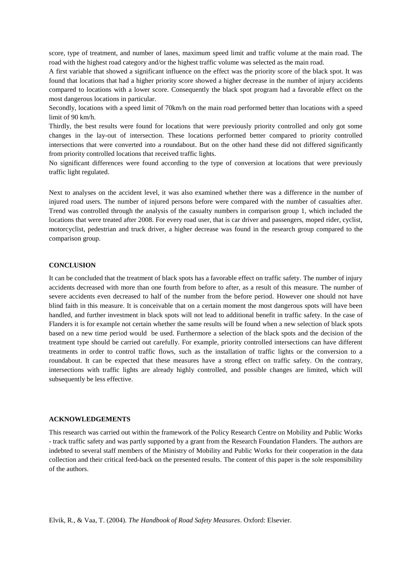score, type of treatment, and number of lanes, maximum speed limit and traffic volume at the main road. The road with the highest road category and/or the highest traffic volume was selected as the main road.

A first variable that showed a significant influence on the effect was the priority score of the black spot. It was found that locations that had a higher priority score showed a higher decrease in the number of injury accidents compared to locations with a lower score. Consequently the black spot program had a favorable effect on the most dangerous locations in particular.

Secondly, locations with a speed limit of 70km/h on the main road performed better than locations with a speed limit of 90 km/h.

Thirdly, the best results were found for locations that were previously priority controlled and only got some changes in the lay-out of intersection. These locations performed better compared to priority controlled intersections that were converted into a roundabout. But on the other hand these did not differed significantly from priority controlled locations that received traffic lights.

No significant differences were found according to the type of conversion at locations that were previously traffic light regulated.

Next to analyses on the accident level, it was also examined whether there was a difference in the number of injured road users. The number of injured persons before were compared with the number of casualties after. Trend was controlled through the analysis of the casualty numbers in comparison group 1, which included the locations that were treated after 2008. For every road user, that is car driver and passengers, moped rider, cyclist, motorcyclist, pedestrian and truck driver, a higher decrease was found in the research group compared to the comparison group.

## **CONCLUSION**

It can be concluded that the treatment of black spots has a favorable effect on traffic safety. The number of injury accidents decreased with more than one fourth from before to after, as a result of this measure. The number of severe accidents even decreased to half of the number from the before period. However one should not have blind faith in this measure. It is conceivable that on a certain moment the most dangerous spots will have been handled, and further investment in black spots will not lead to additional benefit in traffic safety. In the case of Flanders it is for example not certain whether the same results will be found when a new selection of black spots based on a new time period would be used. Furthermore a selection of the black spots and the decision of the treatment type should be carried out carefully. For example, priority controlled intersections can have different treatments in order to control traffic flows, such as the installation of traffic lights or the conversion to a roundabout. It can be expected that these measures have a strong effect on traffic safety. On the contrary, intersections with traffic lights are already highly controlled, and possible changes are limited, which will subsequently be less effective.

#### **ACKNOWLEDGEMENTS**

This research was carried out within the framework of the Policy Research Centre on Mobility and Public Works - track traffic safety and was partly supported by a grant from the Research Foundation Flanders. The authors are indebted to several staff members of the Ministry of Mobility and Public Works for their cooperation in the data collection and their critical feed-back on the presented results. The content of this paper is the sole responsibility of the authors.